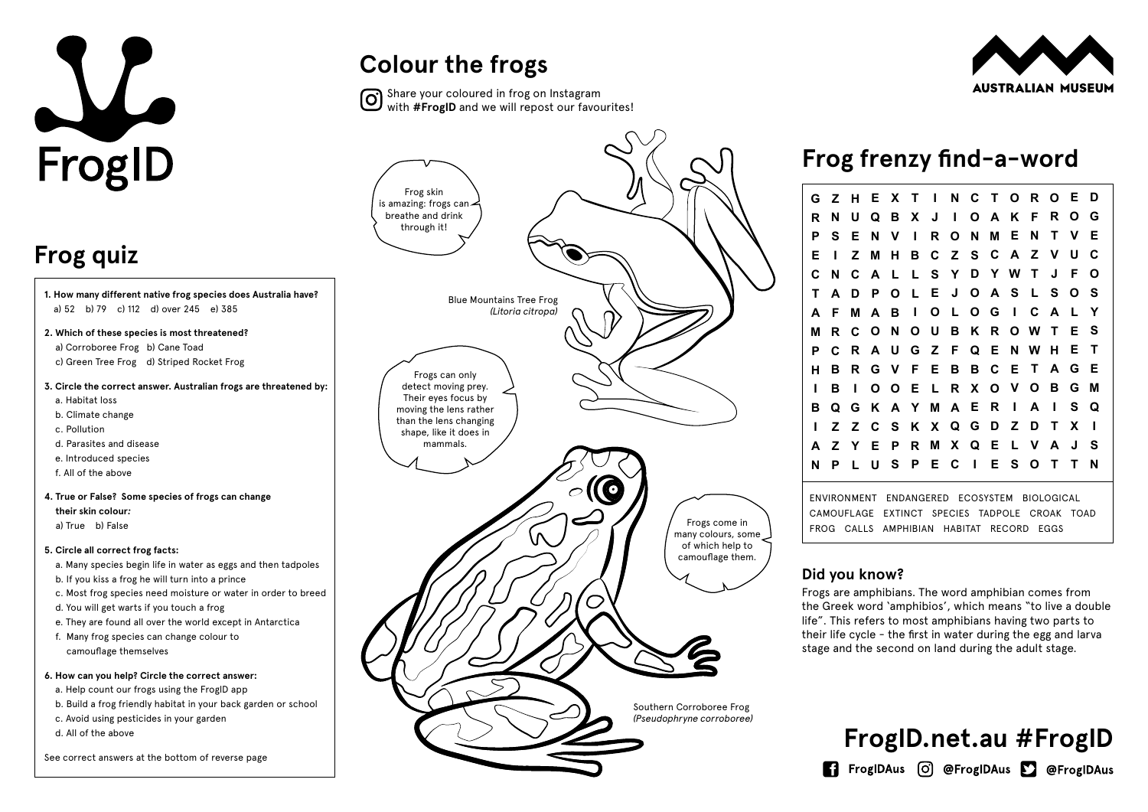| Е                                                         | X              | Т | ı | N               | C            | $\mathbf{T}$ | O. | R.           | O | Е           | D |  |
|-----------------------------------------------------------|----------------|---|---|-----------------|--------------|--------------|----|--------------|---|-------------|---|--|
| Q                                                         | В              | X | J | I               | O            | A            | Κ  | F            | R | O           | G |  |
| N                                                         | V              | ı | R | O               | N            | Μ            | Е  | N            | Τ | V           | Е |  |
| Μ                                                         | н              | B | С | Z               | S            | C            | A  | Z            | V | U           | C |  |
| A                                                         | L              | L | S | Υ               | D            | Y            | W  | Τ            | J | F           | Ω |  |
| P                                                         | O              | L | Е | J               | O            | A            | S  | L            | S | O           | S |  |
| A                                                         | В              | ı | O | L               | O            | G            | I  | C            | A | L           | Υ |  |
| O                                                         | N              | O | U | В               | Κ            | R            | O  | W            | Τ | Е           | S |  |
| A                                                         | U              | G | Z | F               | Q            | Е            | N  | W            | н | Е           | Т |  |
| G                                                         | V              | F | Е | B               | В            | C            | Е  | Т            | A | G           | Е |  |
| O                                                         | O              | Е | L | R               | X            | O            | V  | O            | В | G           | М |  |
| Κ                                                         | A              | Y | M | A               | E            | R            | ı  | A            | I | S           | Q |  |
| C                                                         | S              | Κ | X | Q               | G            | D            | Ζ  | D            | Τ | X           | ı |  |
| Е                                                         | P              | R | Μ | X               | Q            | Е            | L  | V            | A | J           | S |  |
| U                                                         | S              | P | Е | С               | $\mathbf{I}$ | Е            | S  | O            | Τ | Τ           | N |  |
| <b>ECOSYSTEM</b><br>ENDANGERED<br><b>BIOLOGICAL</b><br>١T |                |   |   |                 |              |              |    |              |   |             |   |  |
| E                                                         | <b>EXTINCT</b> |   |   | SPECIES TADPOLE |              |              |    | <b>CROAK</b> |   | <b>TOAD</b> |   |  |



Frogs are amphibians. The word amphibian comes from the Greek word 'amphibios', which means "to live a double life". This refers to most amphibians having two parts to their life cycle - the first in water during the egg and larva stage and the second on land during the adult stage.

FROG CALLS AMPHIBIAN HABITAT RECORD EGGS

Share your coloured in frog on Instagram<br>with #Frosin and wealth with **#FrogID** and we will repost our favourites!





- **1. How many different native frog species does Australia have?** a) 52 b) 79 c) 112 d) over 245 e) 385
- **2. Which of these species is most threatened?**
- a) Corroboree Frog b) Cane Toad c) Green Tree Frog d) Striped Rocket Frog
- **3. Circle the correct answer. Australian frogs are threatened by:**
	- a. Habitat loss
	- b. Climate change
	- c. Pollution
	- d. Parasites and disease
	- e. Introduced species
	- f. All of the above
- **4. True or False? Some species of frogs can change their skin colour***:* 
	- a) True b) False
- **5. Circle all correct frog facts:**
	- a. Many species begin life in water as eggs and then tadpoles
	- b. If you kiss a frog he will turn into a prince
	- c. Most frog species need moisture or water in order to breed
	- d. You will get warts if you touch a frog
	- e. They are found all over the world except in Antarctica
- f. Many frog species can change colour to camouflage themselves

#### **6. How can you help? Circle the correct answer:**

- a. Help count our frogs using the FrogID app
- b. Build a frog friendly habitat in your back garden or school
- c. Avoid using pesticides in your garden
- d. All of the above

See correct answers at the bottom of reverse page

#### **Frog frenzy find-a-word**

# L FrogID

## **Frog quiz**

### **Colour the frogs**